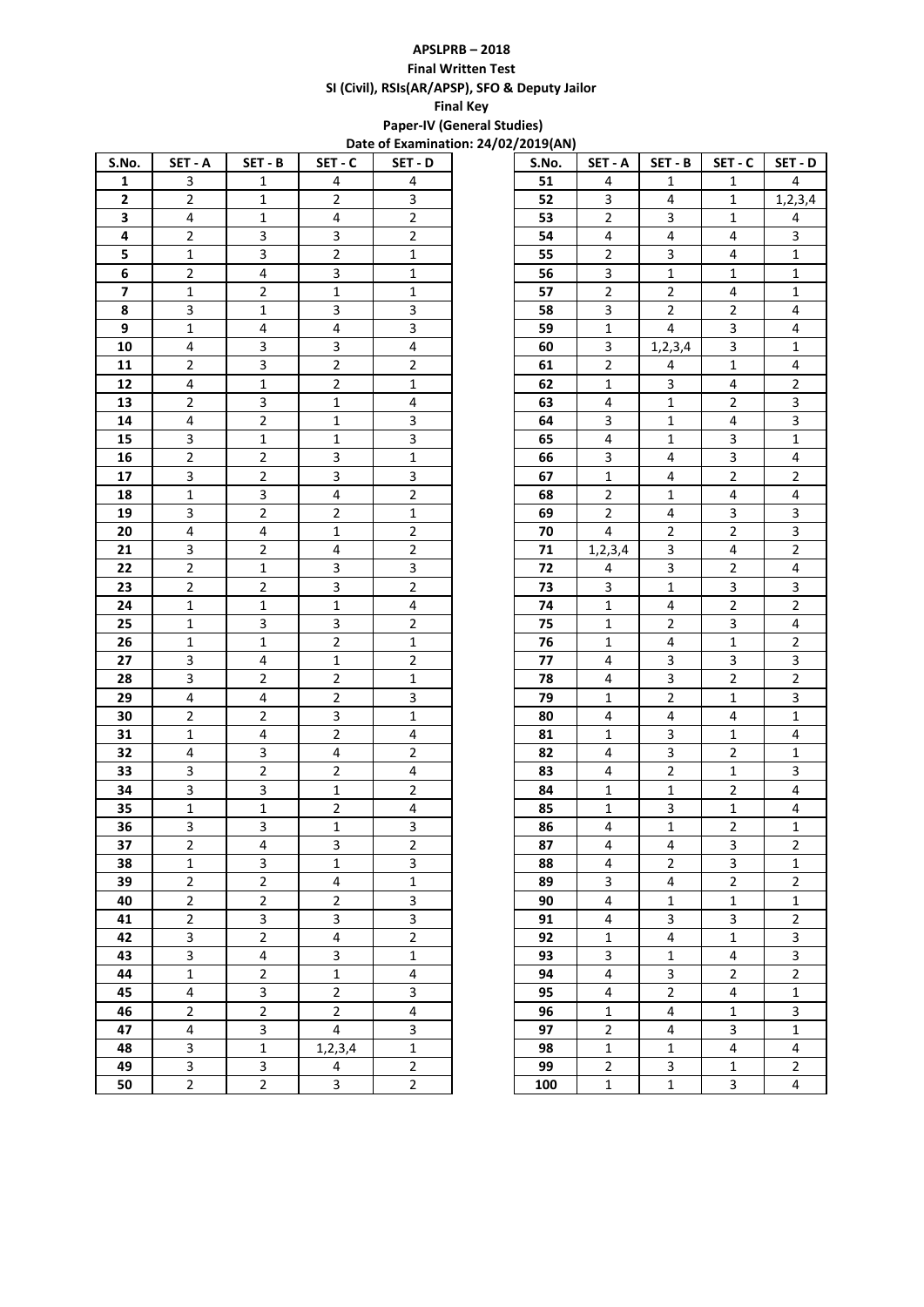## **APSLPRB – 2018 Final Written Test SI (Civil), RSIs(AR/APSP), SFO & Deputy Jailor Final Key**

 **Paper-IV (General Studies) Date of Examination: 24/02/2019(AN)**

| S.No.                   | SET - A                 | SET - B                 | SET - C                 | SET - D                 | S.No. | SET - A                 | SET - B                 | SET - C                 | SET - D                 |
|-------------------------|-------------------------|-------------------------|-------------------------|-------------------------|-------|-------------------------|-------------------------|-------------------------|-------------------------|
| $\mathbf{1}$            | 3                       | 1                       | 4                       | 4                       | 51    | 4                       | $\mathbf{1}$            | $\mathbf{1}$            | $\overline{4}$          |
| $\overline{2}$          | 2                       | $\mathbf{1}$            | $\overline{2}$          | 3                       | 52    | 3                       | 4                       | 1                       | 1, 2, 3, 4              |
| 3                       | $\overline{4}$          | 1                       | 4                       | $\overline{2}$          | 53    | $\overline{2}$          | 3                       | $\mathbf{1}$            | 4                       |
| 4                       | $\overline{2}$          | 3                       | $\overline{\mathbf{3}}$ | $\overline{2}$          | 54    | 4                       | 4                       | 4                       | $\mathbf{3}$            |
| 5                       | $1\,$                   | $\overline{\mathbf{3}}$ | $\overline{2}$          | $\mathbf{1}$            | 55    | $\overline{2}$          | 3                       | 4                       | $\mathbf{1}$            |
| 6                       | $\overline{2}$          | 4                       | 3                       | $\mathbf{1}$            | 56    | $\overline{\mathbf{3}}$ | $\mathbf{1}$            | $\mathbf{1}$            | $\mathbf{1}$            |
| $\overline{\mathbf{z}}$ | $\mathbf 1$             | $\overline{2}$          | $\mathbf{1}$            | $\mathbf 1$             | 57    | $\overline{2}$          | $\overline{2}$          | 4                       | $\mathbf{1}$            |
| 8                       | 3                       | $\mathbf{1}$            | 3                       | $\overline{3}$          | 58    | 3                       | $\overline{2}$          | $\overline{2}$          | 4                       |
| 9                       | $\mathbf{1}$            | 4                       | 4                       | $\overline{\mathbf{3}}$ | 59    | $\mathbf{1}$            | $\overline{4}$          | 3                       | 4                       |
| 10                      | 4                       | 3                       | 3                       | 4                       | 60    | 3                       | 1, 2, 3, 4              | 3                       | $\mathbf{1}$            |
| 11                      | $\overline{2}$          | 3                       | $\overline{2}$          | $\overline{2}$          | 61    | $\overline{c}$          | 4                       | $\mathbf{1}$            | 4                       |
| 12                      | 4                       | $\mathbf{1}$            | $\overline{2}$          | $\mathbf{1}$            | 62    | $\mathbf{1}$            | 3                       | 4                       | $\overline{2}$          |
| 13                      | $\overline{2}$          | 3                       | $\mathbf{1}$            | 4                       | 63    | 4                       | $\mathbf{1}$            | $\overline{2}$          | 3                       |
| 14                      | 4                       | $\overline{2}$          | $\mathbf{1}$            | $\overline{\mathbf{3}}$ | 64    | 3                       | $\mathbf{1}$            | 4                       | $\overline{\mathbf{3}}$ |
| 15                      | 3                       | $\mathbf{1}$            | $\mathbf{1}$            | $\overline{\mathbf{3}}$ | 65    | 4                       | $\mathbf{1}$            | 3                       | $\mathbf{1}$            |
| 16                      | $\overline{2}$          | $\overline{2}$          | 3                       | $\mathbf{1}$            | 66    | $\mathbf{3}$            | 4                       | 3                       | 4                       |
| 17                      | 3                       | $\overline{2}$          | 3                       | $\overline{\mathbf{3}}$ | 67    | $\mathbf{1}$            | 4                       | $\overline{2}$          | $\overline{2}$          |
| 18                      | $\mathbf{1}$            | 3                       | 4                       | $\overline{2}$          | 68    | $\overline{2}$          | $\mathbf{1}$            | 4                       | 4                       |
| 19                      | 3                       | $\overline{2}$          | $\overline{2}$          | $\mathbf{1}$            | 69    | $\overline{2}$          | 4                       | $\mathbf{3}$            | 3                       |
| 20                      | $\overline{4}$          | 4                       | $\mathbf{1}$            | $\overline{2}$          | 70    | 4                       | $\overline{2}$          | $\overline{2}$          | 3                       |
| 21                      | 3                       | $\overline{2}$          | $\overline{4}$          | $\overline{2}$          | 71    | 1, 2, 3, 4              | 3                       | 4                       | $\overline{2}$          |
| 22                      | $\overline{2}$          | 1                       | 3                       | 3                       | 72    | 4                       | 3                       | $\overline{2}$          | 4                       |
| 23                      | $\overline{2}$          | $\overline{2}$          | 3                       | $\overline{2}$          | 73    | 3                       | 1                       | 3                       | 3                       |
| 24                      | $\mathbf{1}$            | $\mathbf{1}$            | $\mathbf{1}$            | 4                       | 74    | $\mathbf{1}$            | 4                       | $\overline{2}$          | $\overline{2}$          |
| 25                      | $\mathbf{1}$            | 3                       | 3                       | $\overline{2}$          | 75    | $\mathbf{1}$            | $\overline{2}$          | $\mathbf{3}$            | 4                       |
| 26                      | $\mathbf{1}$            | $\mathbf{1}$            | $\overline{2}$          | $\mathbf{1}$            | 76    | $\mathbf{1}$            | 4                       | $\mathbf{1}$            | $\overline{2}$          |
| 27                      | 3                       | 4                       | $\mathbf{1}$            | $\overline{2}$          | 77    | 4                       | 3                       | $\mathbf{3}$            | 3                       |
| 28                      | 3                       | $\overline{2}$          | $\overline{2}$          | $\mathbf{1}$            | 78    | 4                       | 3                       | $\overline{2}$          | $\overline{2}$          |
| 29                      | 4                       | 4                       | $\overline{2}$          | $\overline{3}$          | 79    | $\mathbf{1}$            | $\overline{2}$          | $\mathbf{1}$            | 3                       |
| 30                      | $\overline{a}$          | $\overline{2}$          | 3                       | $\mathbf{1}$            | 80    | 4                       | 4                       | 4                       | $\mathbf{1}$            |
| 31                      | 1                       | 4                       | $\overline{2}$          | 4                       | 81    | $\mathbf{1}$            | 3                       | 1                       | 4                       |
| 32                      | 4                       | 3                       | 4                       | $\overline{2}$          | 82    | 4                       | 3                       | $\overline{2}$          | $\mathbf{1}$            |
| 33                      | 3                       | $\overline{2}$          | $\overline{2}$          | 4                       | 83    | 4                       | $\overline{2}$          | 1                       | 3                       |
| 34                      | 3                       | 3                       | $\mathbf{1}$            | $\overline{2}$          | 84    | $\mathbf{1}$            | $\mathbf{1}$            | $\overline{2}$          | 4                       |
| 35                      | $\mathbf{1}$            | 1                       | $\overline{2}$          | 4                       | 85    | $\mathbf{1}$            | 3                       | 1                       | 4                       |
| 36                      | 3                       | 3                       | $\mathbf{1}$            | 3                       | 86    | 4                       | $\mathbf{1}$            | $\overline{2}$          | $\mathbf{1}$            |
| 37                      | 2                       | $\overline{4}$          | 3                       | $\overline{2}$          | 87    | $\overline{4}$          | 4                       | 3                       | $\overline{2}$          |
| 38                      | $\mathbf{1}$            | 3                       | $\mathbf{1}$            | 3                       | 88    | 4                       | $\overline{2}$          | 3                       | $\mathbf{1}$            |
| 39                      | $\overline{2}$          | $\overline{2}$          | $\overline{4}$          | $\mathbf{1}$            | 89    | $\overline{3}$          | $\overline{4}$          | $\overline{2}$          | $\overline{2}$          |
| 40                      | $\overline{2}$          | $\overline{2}$          | $\overline{2}$          | $\overline{\mathbf{3}}$ | 90    | $\overline{4}$          | $\mathbf 1$             | $\mathbf 1$             | $\mathbf{1}$            |
| 41                      | $\overline{2}$          | $\overline{\mathbf{3}}$ | $\overline{3}$          | $\overline{3}$          | 91    | $\overline{4}$          | $\overline{3}$          | $\overline{\mathbf{3}}$ | $\overline{2}$          |
| 42                      | 3                       | $\overline{2}$          | $\overline{4}$          | $\overline{2}$          | 92    | $\mathbf{1}$            | $\overline{4}$          | $\mathbf{1}$            | 3                       |
| 43                      | $\overline{3}$          | 4                       | $\overline{3}$          | $\mathbf{1}$            | 93    | 3                       | $\mathbf 1$             | $\overline{\mathbf{4}}$ | 3                       |
| 44                      | $\mathbf{1}$            | $\overline{2}$          | $\mathbf{1}$            | $\overline{4}$          | 94    | $\overline{4}$          | 3                       | $\overline{2}$          | $\overline{2}$          |
| 45                      | 4                       | $\overline{3}$          | $\overline{2}$          | $\overline{\mathbf{3}}$ | 95    | $\overline{4}$          | $\overline{2}$          | $\overline{\mathbf{4}}$ | $1\,$                   |
| 46                      | $\overline{2}$          | $\overline{2}$          | $\overline{2}$          | $\overline{4}$          | 96    | $\mathbf{1}$            | $\overline{\mathbf{4}}$ | $1\,$                   | 3                       |
| 47                      | $\overline{4}$          | 3                       | $\overline{4}$          | $\overline{3}$          | 97    | $\overline{2}$          | $\overline{4}$          | $\overline{3}$          | $\mathbf{1}$            |
| 48                      | $\overline{3}$          | $1\,$                   | 1,2,3,4                 | $\mathbf{1}$            | 98    | $\mathbf{1}$            | $\mathbf{1}$            | 4                       | 4                       |
| 49                      | $\overline{\mathbf{3}}$ | 3                       | $\overline{4}$          | $\overline{2}$          | 99    | $\overline{2}$          | 3                       | $1\,$                   | $\overline{2}$          |
| 50                      | $\overline{2}$          | $\overline{2}$          | $\overline{3}$          | $\overline{2}$          | 100   | $\mathbf{1}$            | $\mathbf 1$             | $\mathbf{3}$            | $\overline{4}$          |

| 27 ZUIJ(AIV) |                             |                         |                         |                         |
|--------------|-----------------------------|-------------------------|-------------------------|-------------------------|
| S.No.        | SET - A                     | $SET - B$               | SET - C                 | SET - D                 |
| 51           | 4                           | $\mathbf{1}$            | $\mathbf{1}$            | 4                       |
| 52           | 3                           | 4                       | $\mathbf{1}$            | 1, 2, 3, 4              |
| 53           | 2                           | 3                       | $\mathbf 1$             | 4                       |
| 54           | 4                           | 4                       | 4                       | 3                       |
| 55           | $\overline{\mathbf{c}}$     | 3                       | 4                       | $\mathbf{1}$            |
| 56           | 3                           | $\mathbf 1$             | $\mathbf 1$             | $\mathbf{1}$            |
| 57           | $\overline{\mathbf{c}}$     | 2                       | 4                       | $\mathbf{1}$            |
| 58           | 3                           | 2                       | $\overline{\mathbf{c}}$ | 4                       |
| 59           | $\mathbf{1}$                | 4                       | 3                       | 4                       |
| 60           | 3                           | 1, 2, 3, 4              | 3                       | $\mathbf{1}$            |
| 61           | $\overline{\mathbf{c}}$     | $\overline{\mathbf{r}}$ | $\mathbf 1$             | 4                       |
| 62           | $\mathbf 1$                 | 3                       | 4                       | $\overline{\mathbf{c}}$ |
| 63           | 4                           | $\mathbf 1$             | $\overline{c}$          | 3                       |
| 64           | 3                           | $\mathbf 1$             | 4                       | 3                       |
| 65           | 4                           | $\mathbf 1$             | 3                       | $\mathbf{1}$            |
| 66           | 3                           | 4                       | 3                       | 4                       |
| 67           | $\mathbf{1}$                | 4                       | 2                       | $\overline{\mathbf{c}}$ |
| 68           | $\overline{\mathbf{c}}$     | $\mathbf 1$             | 4                       | 4                       |
| 69           | $\overline{\mathbf{c}}$     | 4                       | 3                       | 3                       |
| 70           | 4                           | 2                       | $\overline{\mathbf{c}}$ | $\overline{\mathbf{3}}$ |
| 71           | 1, 2, 3, 4                  | 3                       | 4                       | $\overline{2}$          |
| 72           | 4                           | 3                       | $\overline{\mathbf{c}}$ | 4                       |
| 73           | 3                           | $\mathbf 1$             | 3                       | 3                       |
| 74           | $\mathbf 1$                 | 4                       | $\overline{\mathbf{c}}$ | $\overline{\mathbf{c}}$ |
| 75           |                             |                         | 3                       | 4                       |
|              | $\mathbf 1$<br>$\mathbf{1}$ | 2<br>4                  | $\mathbf{1}$            | $\overline{\mathbf{c}}$ |
| 76           | 4                           | 3                       | 3                       | 3                       |
| 77           |                             | 3                       |                         |                         |
| 78           | 4                           |                         | 2                       | $\overline{\mathbf{c}}$ |
| 79           | $\mathbf 1$                 | $\overline{c}$          | $\mathbf 1$             | 3                       |
| 80           | 4                           | 4                       | 4                       | $\mathbf{1}$            |
| 81           | $\mathbf 1$                 | 3                       | $\mathbf 1$             | 4                       |
| 82           | 4                           | 3                       | $\overline{\mathbf{c}}$ | $\mathbf 1$             |
| 83           | 4                           | $\overline{\mathbf{c}}$ | $\mathbf{1}$            | 3                       |
| 84           | $\mathbf{1}$                | $\mathbf 1$             | 2                       | 4                       |
| 85           | $\mathbf 1$                 | 3                       | $\mathbf 1$             | 4                       |
| 86           | 4                           | $\mathbf 1$             | $\overline{\mathbf{c}}$ | $\mathbf 1$             |
| 87           | 4                           | 4                       | 3                       | 2                       |
| 88           | 4                           | $\overline{\mathbf{c}}$ | 3                       | $\mathbf{1}$            |
| 89           | 3                           | 4                       | $\overline{2}$          | $\overline{2}$          |
| 90           | 4                           | $\mathbf 1$             | $\mathbf{1}$            | $\mathbf{1}$            |
| 91           | 4                           | 3                       | 3                       | $\overline{\mathbf{c}}$ |
| 92           | $\mathbf 1$                 | 4                       | $\mathbf 1$             | 3                       |
| 93           | 3                           | $\mathbf 1$             | 4                       | 3                       |
| 94           | 4                           | 3                       | $\overline{\mathbf{c}}$ | 2                       |
| 95           | 4                           | $\overline{2}$          | 4                       | $\overline{1}$          |
| 96           | $\mathbf{1}$                | 4                       | $\mathbf{1}$            | 3                       |
| 97           | $\overline{\mathbf{c}}$     | 4                       | 3                       | $\mathbf{1}$            |
| 98           | $\mathbf 1$                 | $\mathbf 1$             | 4                       | 4                       |
| 99           | 2                           | 3                       | $\mathbf{1}$            | 2                       |
| 100          | $\mathbf 1$                 | $\mathbf{1}$            | 3                       | 4                       |